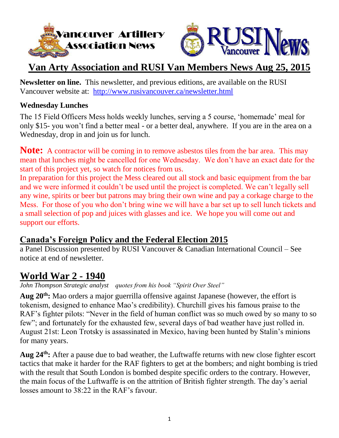



# **Van Arty Association and RUSI Van Members News Aug 25, 2015**

**Newsletter on line.** This newsletter, and previous editions, are available on the RUSI Vancouver website at: <http://www.rusivancouver.ca/newsletter.html>

#### **Wednesday Lunches**

The 15 Field Officers Mess holds weekly lunches, serving a 5 course, 'homemade' meal for only \$15- you won't find a better meal - or a better deal, anywhere. If you are in the area on a Wednesday, drop in and join us for lunch.

**Note:** A contractor will be coming in to remove asbestos tiles from the bar area. This may mean that lunches might be cancelled for one Wednesday. We don't have an exact date for the start of this project yet, so watch for notices from us.

In preparation for this project the Mess cleared out all stock and basic equipment from the bar and we were informed it couldn't be used until the project is completed. We can't legally sell any wine, spirits or beer but patrons may bring their own wine and pay a corkage charge to the Mess. For those of you who don't bring wine we will have a bar set up to sell lunch tickets and a small selection of pop and juices with glasses and ice. We hope you will come out and support our efforts.

## **Canada's Foreign Policy and the Federal Election 2015**

a Panel Discussion presented by RUSI Vancouver & Canadian International Council – See notice at end of newsletter.

## **World War 2 - 1940**

*John Thompson Strategic analyst quotes from his book "Spirit Over Steel"*

**Aug 20th:** Mao orders a major guerrilla offensive against Japanese (however, the effort is tokenism, designed to enhance Mao's credibility). Churchill gives his famous praise to the RAF's fighter pilots: "Never in the field of human conflict was so much owed by so many to so few"; and fortunately for the exhausted few, several days of bad weather have just rolled in. August 21st: Leon Trotsky is assassinated in Mexico, having been hunted by Stalin's minions for many years.

**Aug 24th:** After a pause due to bad weather, the Luftwaffe returns with new close fighter escort tactics that make it harder for the RAF fighters to get at the bombers; and night bombing is tried with the result that South London is bombed despite specific orders to the contrary. However, the main focus of the Luftwaffe is on the attrition of British fighter strength. The day's aerial losses amount to 38:22 in the RAF's favour.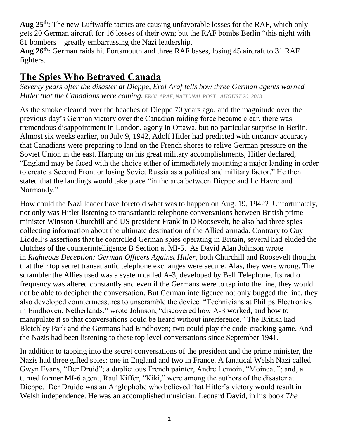**Aug 25th:** The new Luftwaffe tactics are causing unfavorable losses for the RAF, which only gets 20 German aircraft for 16 losses of their own; but the RAF bombs Berlin "this night with 81 bombers – greatly embarrassing the Nazi leadership.

**Aug 26th:** German raids hit Portsmouth and three RAF bases, losing 45 aircraft to 31 RAF fighters.

# **The Spies Who Betrayed Canada**

*Seventy years after the disaster at Dieppe, Erol Araf tells how three German agents warned Hitler that the Canadians were coming. EROL ARAF, [NATIONAL](http://news.nationalpost.com/author/natpost) POST | AUGUST 20, 2013*

As the smoke cleared over the beaches of Dieppe 70 years ago, and the magnitude over the previous day's German victory over the Canadian raiding force became clear, there was tremendous disappointment in London, agony in Ottawa, but no particular surprise in Berlin. Almost six weeks earlier, on July 9, 1942, Adolf Hitler had predicted with uncanny accuracy that Canadians were preparing to land on the French shores to relive German pressure on the Soviet Union in the east. Harping on his great military accomplishments, Hitler declared, "England may be faced with the choice either of immediately mounting a major landing in order to create a Second Front or losing Soviet Russia as a political and military factor." He then stated that the landings would take place "in the area between Dieppe and Le Havre and Normandy."

How could the Nazi leader have foretold what was to happen on Aug. 19, 1942? Unfortunately, not only was Hitler listening to transatlantic telephone conversations between British prime minister Winston Churchill and US president Franklin D Roosevelt, he also had three spies collecting information about the ultimate destination of the Allied armada. Contrary to Guy Liddell's assertions that he controlled German spies operating in Britain, several had eluded the clutches of the counterintelligence B Section at MI-5. As David Alan Johnson wrote in *Righteous Deception: German Officers Against Hitler*, both Churchill and Roosevelt thought that their top secret transatlantic telephone exchanges were secure. Alas, they were wrong. The scrambler the Allies used was a system called A-3, developed by Bell Telephone. Its radio frequency was altered constantly and even if the Germans were to tap into the line, they would not be able to decipher the conversation. But German intelligence not only bugged the line, they also developed countermeasures to unscramble the device. "Technicians at Philips Electronics in Eindhoven, Netherlands," wrote Johnson, "discovered how A-3 worked, and how to manipulate it so that conversations could be heard without interference." The British had Bletchley Park and the Germans had Eindhoven; two could play the code-cracking game. And the Nazis had been listening to these top level conversations since September 1941.

In addition to tapping into the secret conversations of the president and the prime minister, the Nazis had three gifted spies: one in England and two in France. A fanatical Welsh Nazi called Gwyn Evans, "Der Druid"; a duplicitous French painter, Andre Lemoin, "Moineau"; and, a turned former MI-6 agent, Raul Kiffer, "Kiki," were among the authors of the disaster at Dieppe. Der Druide was an Anglophobe who believed that Hitler's victory would result in Welsh independence. He was an accomplished musician. Leonard David, in his book *The*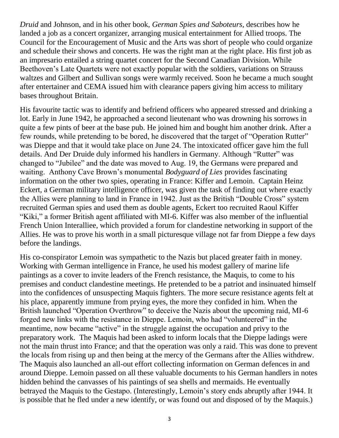*Druid* and Johnson, and in his other book, *German Spies and Saboteurs*, describes how he landed a job as a concert organizer, arranging musical entertainment for Allied troops. The Council for the Encouragement of Music and the Arts was short of people who could organize and schedule their shows and concerts. He was the right man at the right place. His first job as an impresario entailed a string quartet concert for the Second Canadian Division. While Beethoven's Late Quartets were not exactly popular with the soldiers, variations on Strauss waltzes and Gilbert and Sullivan songs were warmly received. Soon he became a much sought after entertainer and CEMA issued him with clearance papers giving him access to military bases throughout Britain.

His favourite tactic was to identify and befriend officers who appeared stressed and drinking a lot. Early in June 1942, he approached a second lieutenant who was drowning his sorrows in quite a few pints of beer at the base pub. He joined him and bought him another drink. After a few rounds, while pretending to be bored, he discovered that the target of "Operation Rutter" was Dieppe and that it would take place on June 24. The intoxicated officer gave him the full details. And Der Druide duly informed his handlers in Germany. Although "Rutter" was changed to "Jubilee" and the date was moved to Aug. 19, the Germans were prepared and waiting. Anthony Cave Brown's monumental *Bodyguard of Lies* provides fascinating information on the other two spies, operating in France: Kiffer and Lemoin. Captain Heinz Eckert, a German military intelligence officer, was given the task of finding out where exactly the Allies were planning to land in France in 1942. Just as the British "Double Cross" system recruited German spies and used them as double agents, Eckert too recruited Raoul Kiffer "Kiki," a former British agent affiliated with MI-6. Kiffer was also member of the influential French Union Interalliee, which provided a forum for clandestine networking in support of the Allies. He was to prove his worth in a small picturesque village not far from Dieppe a few days before the landings.

His co-conspirator Lemoin was sympathetic to the Nazis but placed greater faith in money. Working with German intelligence in France, he used his modest gallery of marine life paintings as a cover to invite leaders of the French resistance, the Maquis, to come to his premises and conduct clandestine meetings. He pretended to be a patriot and insinuated himself into the confidences of unsuspecting Maquis fighters. The more secure resistance agents felt at his place, apparently immune from prying eyes, the more they confided in him. When the British launched "Operation Overthrow" to deceive the Nazis about the upcoming raid, MI-6 forged new links with the resistance in Dieppe. Lemoin, who had "volunteered" in the meantime, now became "active" in the struggle against the occupation and privy to the preparatory work. The Maquis had been asked to inform locals that the Dieppe ladings were not the main thrust into France; and that the operation was only a raid. This was done to prevent the locals from rising up and then being at the mercy of the Germans after the Allies withdrew. The Maquis also launched an all-out effort collecting information on German defences in and around Dieppe. Lemoin passed on all these valuable documents to his German handlers in notes hidden behind the canvasses of his paintings of sea shells and mermaids. He eventually betrayed the Maquis to the Gestapo. (Interestingly, Lemoin's story ends abruptly after 1944. It is possible that he fled under a new identify, or was found out and disposed of by the Maquis.)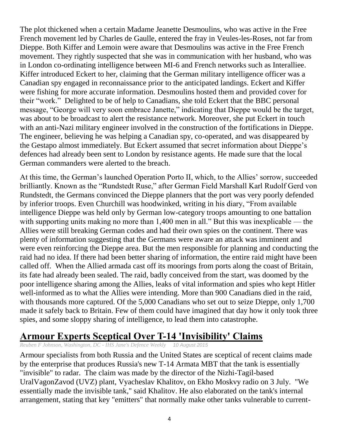The plot thickened when a certain Madame Jeanette Desmoulins, who was active in the Free French movement led by Charles de Gaulle, entered the fray in Veules-les-Roses, not far from Dieppe. Both Kiffer and Lemoin were aware that Desmoulins was active in the Free French movement. They rightly suspected that she was in communication with her husband, who was in London co-ordinating intelligence between MI-6 and French networks such as Interalliee. Kiffer introduced Eckert to her, claiming that the German military intelligence officer was a Canadian spy engaged in reconnaissance prior to the anticipated landings. Eckert and Kiffer were fishing for more accurate information. Desmoulins hosted them and provided cover for their "work." Delighted to be of help to Canadians, she told Eckert that the BBC personal message, "George will very soon embrace Janette," indicating that Dieppe would be the target, was about to be broadcast to alert the resistance network. Moreover, she put Eckert in touch with an anti-Nazi military engineer involved in the construction of the fortifications in Dieppe. The engineer, believing he was helping a Canadian spy, co-operated, and was disappeared by the Gestapo almost immediately. But Eckert assumed that secret information about Dieppe's defences had already been sent to London by resistance agents. He made sure that the local German commanders were alerted to the breach.

At this time, the German's launched Operation Porto II, which, to the Allies' sorrow, succeeded brilliantly. Known as the "Rundstedt Ruse," after German Field Marshall Karl Rudolf Gerd von Rundstedt, the Germans convinced the Dieppe planners that the port was very poorly defended by inferior troops. Even Churchill was hoodwinked, writing in his diary, "From available intelligence Dieppe was held only by German low-category troops amounting to one battalion with supporting units making no more than 1,400 men in all." But this was inexplicable — the Allies were still breaking German codes and had their own spies on the continent. There was plenty of information suggesting that the Germans were aware an attack was imminent and were even reinforcing the Dieppe area. But the men responsible for planning and conducting the raid had no idea. If there had been better sharing of information, the entire raid might have been called off. When the Allied armada cast off its moorings from ports along the coast of Britain, its fate had already been sealed. The raid, badly conceived from the start, was doomed by the poor intelligence sharing among the Allies, leaks of vital information and spies who kept Hitler well-informed as to what the Allies were intending. More than 900 Canadians died in the raid, with thousands more captured. Of the 5,000 Canadians who set out to seize Dieppe, only 1,700 made it safely back to Britain. Few of them could have imagined that day how it only took three spies, and some sloppy sharing of intelligence, to lead them into catastrophe.

## **Armour Experts Sceptical Over T-14 'Invisibility' Claims**

*Reuben F Johnson, Washington, DC - IHS Jane's Defence Weekly 10 August 2015*

Armour specialists from both Russia and the United States are sceptical of recent claims made by the enterprise that produces Russia's new T-14 Armata MBT that the tank is essentially "invisible" to radar. The claim was made by the director of the Nizhi-Tagil-based UralVagonZavod (UVZ) plant, Vyacheslav Khalitov, on Ekho Moskvy radio on 3 July. "We essentially made the invisible tank," said Khalitov. He also elaborated on the tank's internal arrangement, stating that key "emitters" that normally make other tanks vulnerable to current-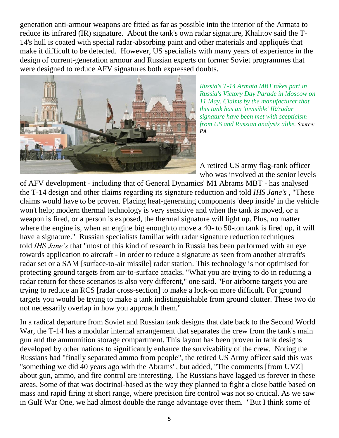generation anti-armour weapons are fitted as far as possible into the interior of the Armata to reduce its infrared (IR) signature. About the tank's own radar signature, Khalitov said the T-14's hull is coated with special radar-absorbing paint and other materials and appliqués that make it difficult to be detected. However, US specialists with many years of experience in the design of current-generation armour and Russian experts on former Soviet programmes that were designed to reduce AFV signatures both expressed doubts.



*Russia's T-14 Armata MBT takes part in Russia's Victory Day Parade in Moscow on 11 May. Claims by the manufacturer that this tank has an 'invisible' IR/radar signature have been met with scepticism from US and Russian analysts alike. Source: PA*

A retired US army flag-rank officer who was involved at the senior levels

of AFV development - including that of General Dynamics' M1 Abrams MBT - has analysed the T-14 design and other claims regarding its signature reduction and told *IHS Jane's* , "These claims would have to be proven. Placing heat-generating components 'deep inside' in the vehicle won't help; modern thermal technology is very sensitive and when the tank is moved, or a weapon is fired, or a person is exposed, the thermal signature will light up. Plus, no matter where the engine is, when an engine big enough to move a 40- to 50-ton tank is fired up, it will have a signature." Russian specialists familiar with radar signature reduction techniques told *IHS Jane's* that "most of this kind of research in Russia has been performed with an eye towards application to aircraft - in order to reduce a signature as seen from another aircraft's radar set or a SAM [surface-to-air missile] radar station. This technology is not optimised for protecting ground targets from air-to-surface attacks. "What you are trying to do in reducing a radar return for these scenarios is also very different," one said. "For airborne targets you are trying to reduce an RCS [radar cross-section] to make a lock-on more difficult. For ground targets you would be trying to make a tank indistinguishable from ground clutter. These two do not necessarily overlap in how you approach them."

In a radical departure from Soviet and Russian tank designs that date back to the Second World War, the T-14 has a modular internal arrangement that separates the crew from the tank's main gun and the ammunition storage compartment. This layout has been proven in tank designs developed by other nations to significantly enhance the survivability of the crew. Noting the Russians had "finally separated ammo from people", the retired US Army officer said this was "something we did 40 years ago with the Abrams", but added, "The comments [from UVZ] about gun, ammo, and fire control are interesting. The Russians have lagged us forever in these areas. Some of that was doctrinal-based as the way they planned to fight a close battle based on mass and rapid firing at short range, where precision fire control was not so critical. As we saw in Gulf War One, we had almost double the range advantage over them. "But I think some of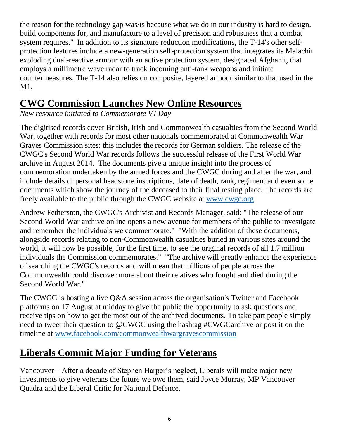the reason for the technology gap was/is because what we do in our industry is hard to design, build components for, and manufacture to a level of precision and robustness that a combat system requires." In addition to its signature reduction modifications, the T-14's other selfprotection features include a new-generation self-protection system that integrates its Malachit exploding dual-reactive armour with an active protection system, designated Afghanit, that employs a millimetre wave radar to track incoming anti-tank weapons and initiate countermeasures. The T-14 also relies on composite, layered armour similar to that used in the M1.

# **CWG Commission Launches New Online Resources**

*New resource initiated to Commemorate VJ Day*

The digitised records cover British, Irish and Commonwealth casualties from the Second World War, together with records for most other nationals commemorated at Commonwealth War Graves Commission sites: this includes the records for German soldiers. The release of the CWGC's Second World War records follows the successful release of the First World War archive in August 2014. The documents give a unique insight into the process of commemoration undertaken by the armed forces and the CWGC during and after the war, and include details of personal headstone inscriptions, date of death, rank, regiment and even some documents which show the journey of the deceased to their final resting place. The records are freely available to the public through the CWGC website at [www.cwgc.org](http://www.cwgc.org/)

Andrew Fetherston, the CWGC's Archivist and Records Manager, said: "The release of our Second World War archive online opens a new avenue for members of the public to investigate and remember the individuals we commemorate." "With the addition of these documents, alongside records relating to non-Commonwealth casualties buried in various sites around the world, it will now be possible, for the first time, to see the original records of all 1.7 million individuals the Commission commemorates." "The archive will greatly enhance the experience of searching the CWGC's records and will mean that millions of people across the Commonwealth could discover more about their relatives who fought and died during the Second World War."

The CWGC is hosting a live Q&A session across the organisation's Twitter and Facebook platforms on 17 August at midday to give the public the opportunity to ask questions and receive tips on how to get the most out of the archived documents. To take part people simply need to tweet their question to @CWGC using the hashtag #CWGCarchive or post it on the timeline at [www.facebook.com/commonwealthwargravescommission](http://www.facebook.com/commonwealthwargravescommission)

# **Liberals Commit Major Funding for Veterans**

Vancouver – After a decade of Stephen Harper's neglect, Liberals will make major new investments to give veterans the future we owe them, said Joyce Murray, MP Vancouver Quadra and the Liberal Critic for National Defence.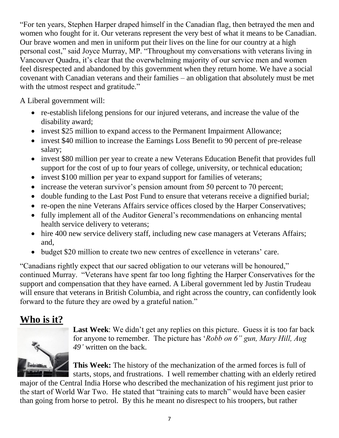"For ten years, Stephen Harper draped himself in the Canadian flag, then betrayed the men and women who fought for it. Our veterans represent the very best of what it means to be Canadian. Our brave women and men in uniform put their lives on the line for our country at a high personal cost," said Joyce Murray, MP. "Throughout my conversations with veterans living in Vancouver Quadra, it's clear that the overwhelming majority of our service men and women feel disrespected and abandoned by this government when they return home. We have a social covenant with Canadian veterans and their families – an obligation that absolutely must be met with the utmost respect and gratitude."

A Liberal government will:

- re-establish lifelong pensions for our injured veterans, and increase the value of the disability award;
- invest \$25 million to expand access to the Permanent Impairment Allowance;
- invest \$40 million to increase the Earnings Loss Benefit to 90 percent of pre-release salary;
- invest \$80 million per year to create a new Veterans Education Benefit that provides full support for the cost of up to four years of college, university, or technical education;
- invest \$100 million per year to expand support for families of veterans;
- increase the veteran survivor's pension amount from 50 percent to 70 percent;
- double funding to the Last Post Fund to ensure that veterans receive a dignified burial;
- re-open the nine Veterans Affairs service offices closed by the Harper Conservatives;
- fully implement all of the Auditor General's recommendations on enhancing mental health service delivery to veterans;
- hire 400 new service delivery staff, including new case managers at Veterans Affairs; and,
- budget \$20 million to create two new centres of excellence in veterans' care.

"Canadians rightly expect that our sacred obligation to our veterans will be honoured," continued Murray. "Veterans have spent far too long fighting the Harper Conservatives for the support and compensation that they have earned. A Liberal government led by Justin Trudeau will ensure that veterans in British Columbia, and right across the country, can confidently look forward to the future they are owed by a grateful nation."

# **Who is it?**



Last Week: We didn't get any replies on this picture. Guess it is too far back for anyone to remember. The picture has '*Robb on 6" gun, Mary Hill, Aug 49'* written on the back.

**This Week:** The history of the mechanization of the armed forces is full of starts, stops, and frustrations. I well remember chatting with an elderly retired

major of the Central India Horse who described the mechanization of his regiment just prior to the start of World War Two. He stated that "training cats to march" would have been easier than going from horse to petrol. By this he meant no disrespect to his troopers, but rather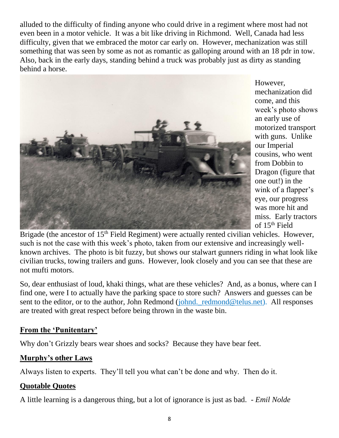alluded to the difficulty of finding anyone who could drive in a regiment where most had not even been in a motor vehicle. It was a bit like driving in Richmond. Well, Canada had less difficulty, given that we embraced the motor car early on. However, mechanization was still something that was seen by some as not as romantic as galloping around with an 18 pdr in tow. Also, back in the early days, standing behind a truck was probably just as dirty as standing behind a horse.



However, mechanization did come, and this week's photo shows an early use of motorized transport with guns. Unlike our Imperial cousins, who went from Dobbin to Dragon (figure that one out!) in the wink of a flapper's eye, our progress was more hit and miss. Early tractors of 15th Field

Brigade (the ancestor of 15<sup>th</sup> Field Regiment) were actually rented civilian vehicles. However, such is not the case with this week's photo, taken from our extensive and increasingly wellknown archives. The photo is bit fuzzy, but shows our stalwart gunners riding in what look like civilian trucks, towing trailers and guns. However, look closely and you can see that these are not mufti motors.

So, dear enthusiast of loud, khaki things, what are these vehicles? And, as a bonus, where can I find one, were I to actually have the parking space to store such? Answers and guesses can be sent to the editor, or to the author, John Redmond [\(johnd.\\_redmond@telus.net\)](mailto:johnd._redmond@telus.net). All responses are treated with great respect before being thrown in the waste bin.

## **From the 'Punitentary'**

Why don't Grizzly bears wear shoes and socks? Because they have bear feet.

## **Murphy's other Laws**

Always listen to experts. They'll tell you what can't be done and why. Then do it.

## **Quotable Quotes**

A little learning is a dangerous thing, but a lot of ignorance is just as bad. - *Emil Nolde*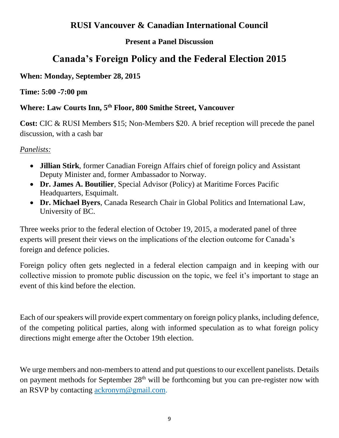## **RUSI Vancouver & Canadian International Council**

## **Present a Panel Discussion**

# **Canada's Foreign Policy and the Federal Election 2015**

#### **When: Monday, September 28, 2015**

#### **Time: 5:00 -7:00 pm**

## **Where: Law Courts Inn, 5th Floor, 800 Smithe Street, Vancouver**

**Cost:** CIC & RUSI Members \$15; Non-Members \$20. A brief reception will precede the panel discussion, with a cash bar

#### *Panelists:*

- **Jillian Stirk**, former Canadian Foreign Affairs chief of foreign policy and Assistant Deputy Minister and, former Ambassador to Norway.
- **Dr. James A. Boutilier**, Special Advisor (Policy) at Maritime Forces Pacific Headquarters, Esquimalt.
- **Dr. Michael Byers**, Canada Research Chair in Global Politics and International Law, University of BC.

Three weeks prior to the federal election of October 19, 2015, a moderated panel of three experts will present their views on the implications of the election outcome for Canada's foreign and defence policies.

Foreign policy often gets neglected in a federal election campaign and in keeping with our collective mission to promote public discussion on the topic, we feel it's important to stage an event of this kind before the election.

Each of our speakers will provide expert commentary on foreign policy planks, including defence, of the competing political parties, along with informed speculation as to what foreign policy directions might emerge after the October 19th election.

We urge members and non-members to attend and put questions to our excellent panelists. Details on payment methods for September  $28<sup>th</sup>$  will be forthcoming but you can pre-register now with an RSVP by contacting [ackronym@gmail.com.](mailto:ackronym@gmail.com)